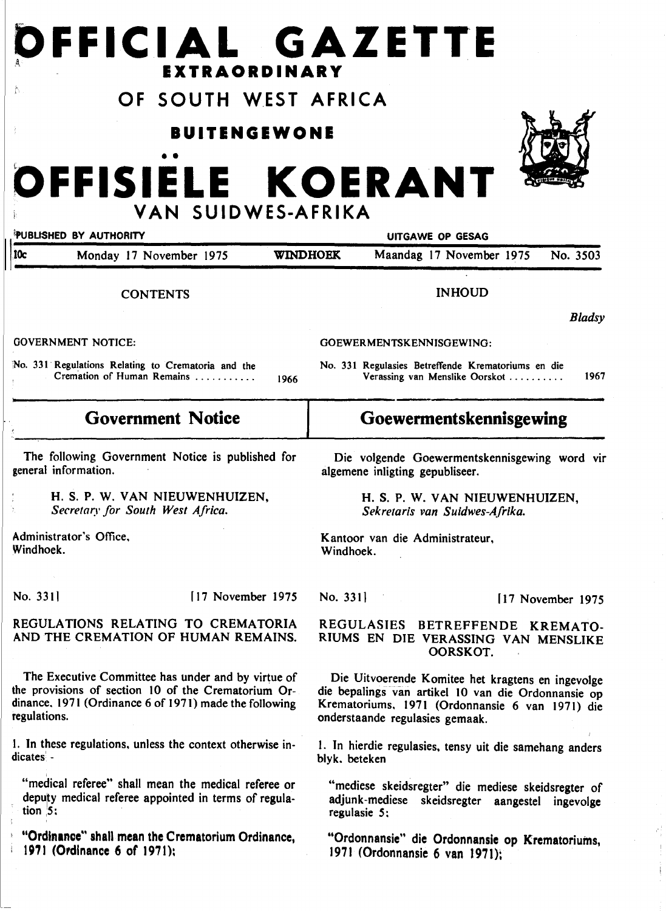# **OFFICIAL GAZETTE** <sup>A</sup>**EXTRAORDINARY**

# **OF SOUTH WEST AFRICA**

# **BUITENGEWONE**

# • • **OFFISIELE KOERANT VAN SUIDWES-AFRIKA**

| PUBLISHED BY AUTHORITY                                                                                                                                                              |                 | UITGAWE OP GESAG                                                                                                                                                                               |                    |
|-------------------------------------------------------------------------------------------------------------------------------------------------------------------------------------|-----------------|------------------------------------------------------------------------------------------------------------------------------------------------------------------------------------------------|--------------------|
| 10c<br>Monday 17 November 1975                                                                                                                                                      | <b>WINDHOEK</b> | Maandag 17 November 1975                                                                                                                                                                       | No. 3503           |
| <b>CONTENTS</b>                                                                                                                                                                     |                 | <b>INHOUD</b>                                                                                                                                                                                  |                    |
|                                                                                                                                                                                     |                 |                                                                                                                                                                                                | <b>Bladsy</b>      |
| <b>GOVERNMENT NOTICE:</b>                                                                                                                                                           |                 | GOEWERMENTSKENNISGEWING:                                                                                                                                                                       |                    |
| No. 331 Regulations Relating to Crematoria and the<br>Cremation of Human Remains                                                                                                    | 1966            | No. 331 Regulasies Betreffende Krematoriums en die<br>Verassing van Menslike Oorskot                                                                                                           | 1967               |
| <b>Government Notice</b>                                                                                                                                                            |                 | Goewermentskennisgewing                                                                                                                                                                        |                    |
| The following Government Notice is published for<br>general information.                                                                                                            |                 | Die volgende Goewermentskennisgewing word vir<br>algemene inligting gepubliseer.                                                                                                               |                    |
| H. S. P. W. VAN NIEUWENHUIZEN,<br>Secretary for South West Africa.                                                                                                                  |                 | H. S. P. W. VAN NIEUWENHUIZEN,<br>Sekretaris van Suidwes-Afrika.                                                                                                                               |                    |
| Administrator's Office,<br>Windhoek.                                                                                                                                                | Windhoek.       | Kantoor van die Administrateur,                                                                                                                                                                |                    |
| No. 3311<br>[17 November 1975                                                                                                                                                       | No. 331]        |                                                                                                                                                                                                | [17 November 1975] |
| REGULATIONS RELATING TO CREMATORIA<br>AND THE CREMATION OF HUMAN REMAINS.                                                                                                           |                 | REGULASIES BETREFFENDE KREMATO-<br>RIUMS EN DIE VERASSING VAN MENSLIKE<br>OORSKOT.                                                                                                             |                    |
| The Executive Committee has under and by virtue of<br>the provisions of section 10 of the Crematorium Or-<br>dinance, 1971 (Ordinance 6 of 1971) made the following<br>regulations. |                 | Die Uitvoerende Komitee het kragtens en ingevolge<br>die bepalings van artikel 10 van die Ordonnansie op<br>Krematoriums, 1971 (Ordonnansie 6 van 1971) die<br>onderstaande regulasies gemaak. |                    |
| 1. In these regulations, unless the context otherwise in-<br>dicates -                                                                                                              |                 | 1. In hierdie regulasies, tensy uit die samehang anders<br>blyk. beteken                                                                                                                       |                    |
| "medical referee" shall mean the medical referee or<br>deputy medical referee appointed in terms of regula-<br>tion $5$ ;                                                           |                 | "mediese skeidsregter" die mediese skeidsregter of<br>adjunk-mediese<br>skeidsregter aangestel ingevolge<br>regulasie 5;                                                                       |                    |
| "Ordinance" shall mean the Crematorium Ordinance,<br>1971 (Ordinance 6 of 1971);                                                                                                    |                 | "Ordonnansie" die Ordonnansie op Krematoriums,<br>1971 (Ordonnansie 6 van 1971);                                                                                                               |                    |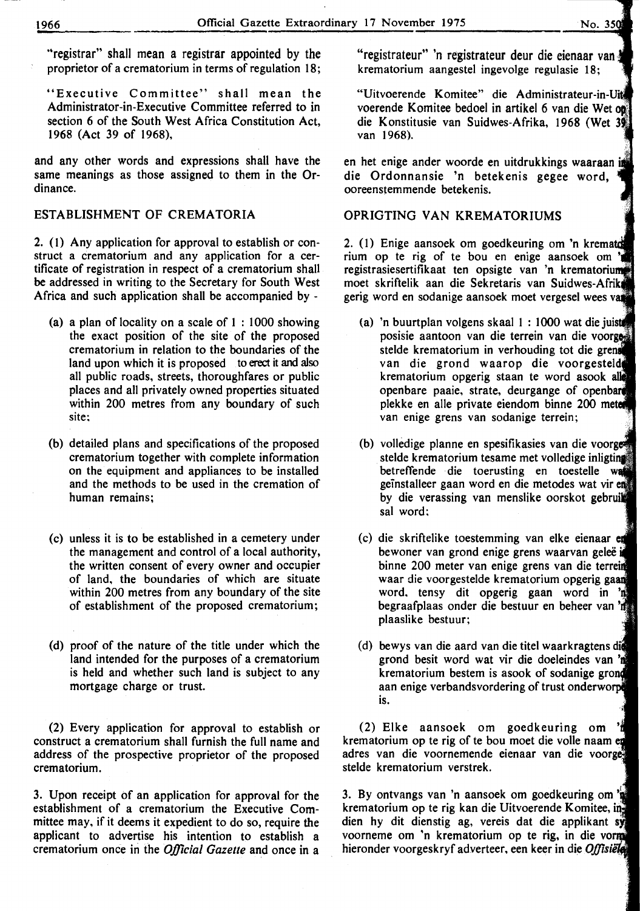"Executive Committee" shall mean the Administrator-in-Executive Committee referred to in section 6 of the South West Africa Constitution Act, 1968 (Act 39 of 1968),

and any other words and expressions shall have the same meanings as those assigned to them in the Ordinance.

#### ESTABLISHMENT OF CREMATORIA

2. ( 1) Any application for approval to establish or construct a crematorium and any application for a certificate of registration in respect of a crematorium shall be addressed in writing to the Secretary for South West Africa and such application shall be accompanied by -

- (a) a plan of locality on a scale of  $1:1000$  showing the exact position of the site of the proposed crematorium in relation to the boundaries of the land upon which it is proposed to erect it and also all public roads, streets, thoroughfares or public places and all privately owned properties situated within 200 metres from any boundary of such site;
- (b) detailed plans and specifications of the proposed crematorium together with complete information on the equipment and appliances to be installed and the methods to be used in the cremation of human remains;
- (c) unless it is to be established in a cemetery under the management and control of a local authority, the written consent of every owner and occupier of land, the boundaries of which are situate within 200 metres from any boundary of the site of establishment of the proposed crematorium;
- (d) proof of the nature of the title under which the land intended for the purposes of a crematorium is held and whether such land is subject to any mortgage charge or trust.

(2) Every application for approval to establish or construct a crematorium shall furnish the full name and address of the prospective proprietor of the proposed crematorium.

3. Upon receipt of an application for approval for the establishment of a crematorium the Executive Committee may, if it deems it expedient to do so, require the applicant to advertise his intention to establish a crematorium once in the *Official Gazette* and once in a

"registrateur" 'n registrateur deur die eienaar van krematorium aangestel ingevolge regulasie 18;

"Uitvoerende Komitee" die Administrateur-in voerende Komitee bedoel in artikel 6 van die Wet die Konstitusie van Suidwes-Afrika, 1968 (Wet van 1968).

en het enige ander woorde en uitdrukkings waaraan in die Ordonnansie 'n betekenis gegee word, ooreenstemmende betekenis.

# OPRIGTING VAN KREMATORIUMS

2.  $(1)$  Enige aansoek om goedkeuring om 'n kremate rium op te rig of te bou en enige aansoek registrasiesertifikaat ten opsigte van 'n krematorium moet skriftelik aan die Sekretaris van Suidwes-Afrik gerig word en sodanige aansoek moet vergesel wees

- (a) 'n buurtplan volgens skaal 1 : 1000 wat die posisie aantoon van die terrein van die stelde krematorium in verhouding tot die van die grond waarop die voorgest krematorium opgerig staan te word asook openbare paaie, strate, deurgange of openbare plekke en aile private eiendom binne 200 van enige grens van sodanige terrein;
- (b) volledige planne en spesifikasies van die voorges stelde krematorium tesame met volledige inligting betreffende die toerusting en toestelle geinstalleer gaan word en die metodes wat vir by die verassing van menslike oorskot gebruik sal word:
- (c) die skriftelike toestemming van elke eienaar bewoner van grond enige grens waarvan geleë i binne 200 meter van enige grens van die waar die voorgestelde krematorium opgerig word. tensy dit opgerig gaan word in begraafplaas onder die bestuur en beheer van plaaslike bestuur;
- (d) bewys van die aard van die titel waarkragtens grond besit word wat vir die doeleindes van krematorium bestem is asook of sodanige aan enige verbandsvordering of trust onderworp is.

(2) Elke aansoek om goedkeuring om krematorium op te rig of te bou moet die volle naam adres van die voornemende eienaar van die stelde krematorium verstrek.

3. By ontvangs van 'n aansoek om goedkeuring om krematorium op te rig kan die Uitvoerende Komitee, in dien hy dit dienstig ag, vereis dat die applikant sy voorneme om 'n krematorium op te rig, in die hieronder voorgeskryf adverteer, een keer in die Offisiële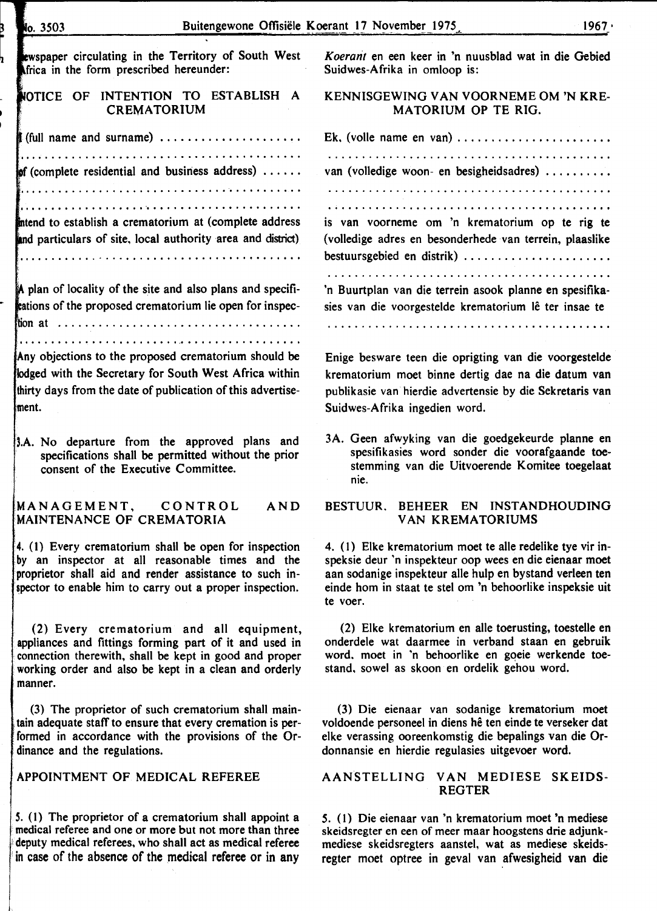| No. 3503                                                                                                                                                                                                                                  | Buitengewone Offisiële Koerant 17 November 1975<br>$1967 \cdot$                                                                                                                                                                                           |
|-------------------------------------------------------------------------------------------------------------------------------------------------------------------------------------------------------------------------------------------|-----------------------------------------------------------------------------------------------------------------------------------------------------------------------------------------------------------------------------------------------------------|
| ewspaper circulating in the Territory of South West<br>Africa in the form prescribed hereunder:                                                                                                                                           | Koerant en een keer in 'n nuusblad wat in die Gebied<br>Suidwes-Afrika in omloop is:                                                                                                                                                                      |
| NOTICE OF INTENTION TO ESTABLISH A<br><b>CREMATORIUM</b>                                                                                                                                                                                  | KENNISGEWING VAN VOORNEME OM 'N KRE-<br>MATORIUM OP TE RIG.                                                                                                                                                                                               |
| (full name and surname) $\dots \dots \dots \dots \dots \dots \dots$<br>$\mathbf{p}$ (complete residential and business address)                                                                                                           | Ek, (volle name en van) $\dots \dots \dots \dots \dots \dots \dots$                                                                                                                                                                                       |
| intend to establish a crematorium at (complete address<br>and particulars of site, local authority area and district)                                                                                                                     | van (volledige woon- en besigheidsadres)<br>is van voorneme om 'n krematorium op te rig te<br>(volledige adres en besonderhede van terrein, plaaslike<br>bestuursgebied en distrik)                                                                       |
| A plan of locality of the site and also plans and specifi-<br>trations of the proposed crematorium lie open for inspec-                                                                                                                   | 'n Buurtplan van die terrein asook planne en spesifika-<br>sies van die voorgestelde krematorium lê ter insae te                                                                                                                                          |
|                                                                                                                                                                                                                                           |                                                                                                                                                                                                                                                           |
| Any objections to the proposed crematorium should be<br>lodged with the Secretary for South West Africa within<br>thirty days from the date of publication of this advertise-<br>lment.                                                   | Enige besware teen die oprigting van die voorgestelde<br>krematorium moet binne dertig dae na die datum van<br>publikasie van hierdie advertensie by die Sekretaris van<br>Suidwes-Afrika ingedien word.                                                  |
| 3.A. No departure from the approved plans and<br>specifications shall be permitted without the prior<br>consent of the Executive Committee.                                                                                               | 3A. Geen afwyking van die goedgekeurde planne en<br>spesifikasies word sonder die voorafgaande toe-<br>stemming van die Uitvoerende Komitee toegelaat<br>nie.                                                                                             |
| MANAGEMENT, CONTROL<br>AND<br>MAINTENANCE OF CREMATORIA                                                                                                                                                                                   | BEHEER EN INSTANDHOUDING<br><b>BESTUUR.</b><br><b>VAN KREMATORIUMS</b>                                                                                                                                                                                    |
| 4. (1) Every crematorium shall be open for inspection<br>by an inspector at all reasonable times and the<br>proprietor shall aid and render assistance to such in-<br>spector to enable him to carry out a proper inspection.             | 4. (1) Elke krematorium moet te alle redelike tye vir in-<br>speksie deur 'n inspekteur oop wees en die eienaar moet<br>aan sodanige inspekteur alle hulp en bystand verleen ten<br>einde hom in staat te stel om 'n behoorlike inspeksie uit<br>te voer. |
| (2) Every crematorium and all equipment,<br>appliances and fittings forming part of it and used in<br>connection therewith, shall be kept in good and proper<br>working order and also be kept in a clean and orderly<br>manner.          | (2) Elke krematorium en alle toerusting, toestelle en<br>onderdele wat daarmee in verband staan en gebruik<br>word, moet in 'n behoorlike en goeie werkende toe-<br>stand, sowel as skoon en ordelik gehou word.                                          |
| (3) The proprietor of such crematorium shall main-<br>tain adequate staff to ensure that every cremation is per-<br>formed in accordance with the provisions of the Or-<br>dinance and the regulations.                                   | (3) Die eienaar van sodanige krematorium moet<br>voldoende personeel in diens hê ten einde te verseker dat<br>elke verassing ooreenkomstig die bepalings van die Or-<br>donnansie en hierdie regulasies uitgevoer word.                                   |
| APPOINTMENT OF MEDICAL REFEREE                                                                                                                                                                                                            | AANSTELLING VAN MEDIESE SKEIDS-<br><b>REGTER</b>                                                                                                                                                                                                          |
| 5. (1) The proprietor of a crematorium shall appoint a<br>medical referee and one or more but not more than three<br>deputy medical referees, who shall act as medical referee<br>in case of the absence of the medical referee or in any | 5. (1) Die eienaar van 'n krematorium moet 'n mediese<br>skeidsregter en een of meer maar hoogstens drie adjunk-<br>mediese skeidsregters aanstel, wat as mediese skeids-<br>regter moet optree in geval van afwesigheid van die                          |

ь.

h

ı,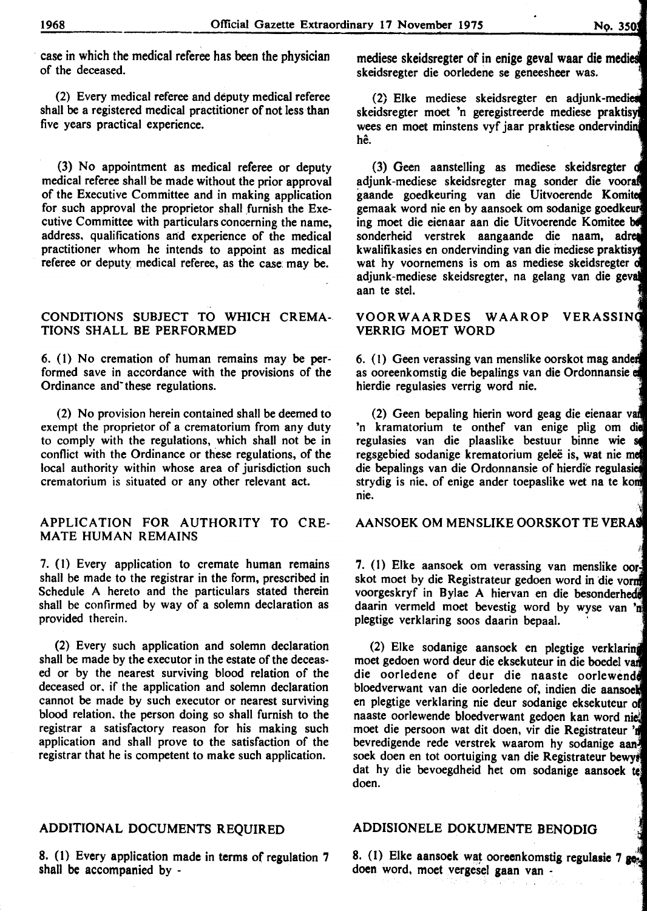case in which the medical referee has been the physician of the deceased.

(2) Every medical referee and deputy medical referee shall be a registered medical practitioner of not less than five years practical experience.

(3) No appointment as medical referee or deputy medical referee shall be made without the prior approval of the Executive Committee and in making application for such approval the proprietor shall furnish the Executive Committee with particulars concerning the name, address, qualifications and experience of the medical practitioner whom he intends to appoint as medical referee or deputy medical referee, as the case: may be.

#### CONDITIONS SUBJECT TO WHICH CREMA-TIONS SHALL BE PERFORMED

6. (I) No cremation of human remains may be performed save in accordance with the provisions of the Ordinance and these regulations.

(2) No provision herein contained shall be deemed to exempt the proprietor of a crematorium from any duty to comply with the regulations, which shall not be in conflict with the Ordinance or these regulations, of the local authority within whose area of jurisdiction such crematorium is situated or any other relevant act.

### APPLICATION FOR AUTHORITY TO CRE-MATE HUMAN REMAINS

7. (I) Every application to cremate human remains shall be made to the registrar in the form, prescribed in Schedule A hereto and the particulars stated therein shall be confirmed by way of a solemn declaration as provided therein.

(2) Every such application and solemn declaration shall be made by the executor in the estate of the deceased or by the nearest surviving blood relation of the deceased or, if the application and solemn declaration cannot be made by such executor or nearest surviving blood relation, the person doing so shall furnish to the registrar a satisfactory reason for his making such application and shall prove to the satisfaction of the registrar that he is competent to make such application.

# ADDITIONAL DOCUMENTS REQUIRED

8. (I) Every application made in terms of regulation 7 shall be accompanied by -

mediese skeidsregter of in enige geval waar die medi skeidsregter die oorledene se geneesheer was.

(2) Elke mediese skeidsregter en adjunk-medies skeidsregter moet 'n geregistreerde mediese praktis wees en moet minstens vyf jaar praktiese ondervindin he.

(3) Geen aanstelling as mediese skeidsregter adjunk-mediese skeidsregter mag sonder die voor gaande goedkeuring van die Uitvoerende Komit gemaak word nie en by aansoek om sodanige goedke ing moet die eienaar aan die Uitvoerende Komitee sonderheid verstrek aangaande die naam, adr kwalifikasies en ondervinding van die mediese praktisvi wat hy voornemens is om as mediese skeidsregter o adjunk-mediese skeidsregter, na gelang van die gev aan te stel.

#### VOORWAARDES WAAROP VERRIG MOET WORD

6. (I) Geen verassing van menslike oorskot mag ande as ooreenkomstig die bepalings van die Ordonnansie e hierdie regulasies verrig word nie.

(2) Geen bepaling hierin word geag die eienaar v 'n kramatorium te onthef van enige plig om die regulasies van die plaaslike bestuur binne wie regsgebied sodanige krematorium geleë is, wat nie me die bepalings van die Ordonnansie of hierdie regulasi strydig is nie, of enige ander toepaslike wet na te kom nie. ·,

AANSOEK OM MENSLIKE OORSKOT TE VERA

7. (I) Elke aansoek om verassing van menslike oor skot moet by die Registrateur gedoen word in die vorm voorgeskryf in Bylae A hiervan en die besonderhed daarin vermeld moet bevestig word by wyse van ' plegtige verklaring soos daarin bepaal.

(2) Elke sodanige aansoek en plegtige verklaring moet gedoen word deur die eksekuteur in die boedel v die oorledene of deur die naaste oorlewend bloedverwant van die oorledene of, indien die aansoe en plegtige verklaring nie deur sodanige eksekuteur o naaste oorlewende bloedverwant gedoen kan word ni moet die persoon wat dit doen, vir die Registrateur ' bevredigende rede verstrek waarom hy sodanige aansoek doen en tot oortuiging van die Registrateur bewy. dat hy die bevoegdheid het om sodanige aansoek te doen.

# ADDISIONELE DOKUMENTE BENODIG

8. (1) Elke aansoek wat ooreenkomstig regulasie 7  $~g_{\alpha}$ doen word, moet vergesel gaan van -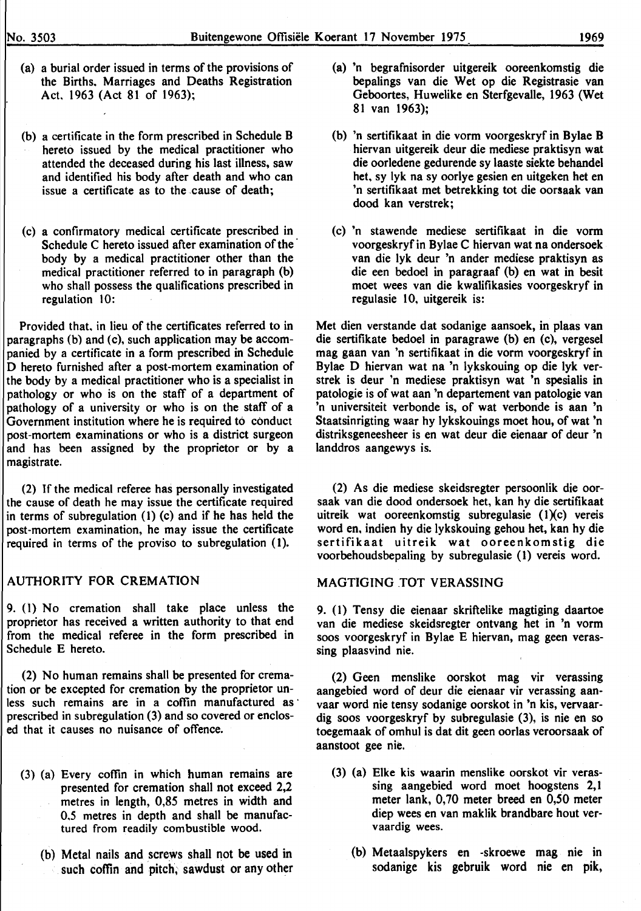- (a) a burial order issued in terms of the provisions of the Births. Marriages and Deaths Registration Act. 1963 (Act 81 of 1963);
- (b) a certificate in the form prescribed in Schedule B hereto issued by the medical practitioner who attended the deceased during his last illness, saw and identified his body after death and who can issue a certificate as to the cause of death;
- (c) a confirmatory medical certificate prescribed in Schedule C hereto issued after examination of the body by a medical practitioner other than the medical practitioner referred to in paragraph (b) who shall possess the qualifications prescribed in regulation 10:

Provided that. in lieu of the certificates referred to in paragraphs (b) and (c), such application may be accompanied by a certificate in a form prescribed in Schedule D hereto furnished after a post-mortem examination of the body by a medical practitioner who is a specialist in pathology or who is on the staff of a department of pathology of a university or who is on the staff of a Government institution where he is required to conduct post-mortem examinations or who is a district surgeon and has been assigned by the proprietor or by a magistrate.

(2) If the medical referee has personally investigated the cause of death he may issue the certificate required in terms of subregulation (1) (c) and if he has held the post-mortem examination, he may issue the certificate required in terms of the proviso to subregulation (1).

#### AUTHORITY FOR CREMATION

9. (1) No cremation shall take place unless the proprietor has received a written authority to that end from the medical referee in the form prescribed in Schedule E hereto.

(2) No human remains shall be presented for cremation or be excepted for cremation by the proprietor unless such remains are in a coffin manufactured as prescribed in subregulation (3) and so covered or enclosed that it causes no nuisance of offence.

- (3) (a) Every coffin in which human remains are presented for cremation shall not exceed 2,2 metres in length, 0,85 metres in width and 0.5 metres in depth and shall be manufactured from readily combustible wood.
	- (b) Metal nails and screws shall not be used in such coffin and pitch, sawdust or any other
- (a) 'n begrafnisorder uitgereik ooreenkomstig die bepalings van die Wet op die Registrasie van Geboortes, Huwelike en Sterfgevalle, 1963 (Wet 81 van 1963);
- (b) 'n sertifikaat in die vorm voorgeskryf in Bylae B hiervan uitgereik deur die mediese praktisyn wat die oorledene gedurende sy laaste siekte behandel het, sy lyk na sy oorlye gesien en uitgeken het en 'n sertifikaat met betrekking tot die oorsaak van dood kan verstrek;
- (c) 'n stawende mediese sertifikaat in die vonn voorgeskryf in Bylae C hiervan wat na ondersoek van die lyk deur 'n ander mediese praktisyn as die een bedoel in paragraaf (b) en wat in besit moet wees van die kwalifikasies voorgeskryf in regulasie 10, uitgereik is:

Met dien verstande dat sodanige aansoek, in plaas van die sertifikate bedoel in paragrawe (b) en (c), vergesel mag gaan van 'n sertifikaat in die vorm voorgeskryf in Bylae D hiervan wat na 'n lykskouing op die lyk verstrek is deur 'n mediese praktisyn wat 'n spesialis in patologie is of wat aan 'n departement van pato1ogie van 'n universiteit verbonde is, of wat verbonde is aan 'n Staatsinrigting waar hy lykskouings moet hou, of wat 'n distriksgeneesheer is en wat deur die eienaar of deur 'n landdros aangewys is.

(2) As die mediese skeidsregter persoonlik die oorsaak van die dood ondersoek het, kan hy die sertifikaat uitreik wat ooreenkomstig subregulasie (l)(c) vereis word en, indien hy die lykskouing gehou het, kan hy die sertifikaat uitreik wat ooreenkomstig die voorbehoudsbepaling by subregulasie ( 1) vereis word.

#### MAGTIGING .TOT VERASSING

9. (1) Tensy die eienaar skriftelike magtiging daartoe van die mediese skeidsregter ontvang bet in 'n vorm soos voorgeskryf in Bylae E hiervan, mag geen verassing plaasvind nie.

(2) Geen menslike oorskot mag vir verassing aangebied word of deur die eienaar vir verassing aanvaar word nie tensy sodanige oorskot in 'n kis, vervaardig soos voorgeskryf by subregulasie (3), is nie en so toegemaak of omhul is dat dit geen oorlas veroorsaak of aanstoot gee nie.

- (3) (a) Elke kis waarin menslike oorskot vir verassing aangebied word moet hoogstens 2, I meter lank, 0, 70 meter breed en 0,50 meter diep wees en van maklik brandbare bout vervaardig wees.
	- (b) Metaalspykers en -skroewe mag nie in sodanige kis gebruik word nie en pik,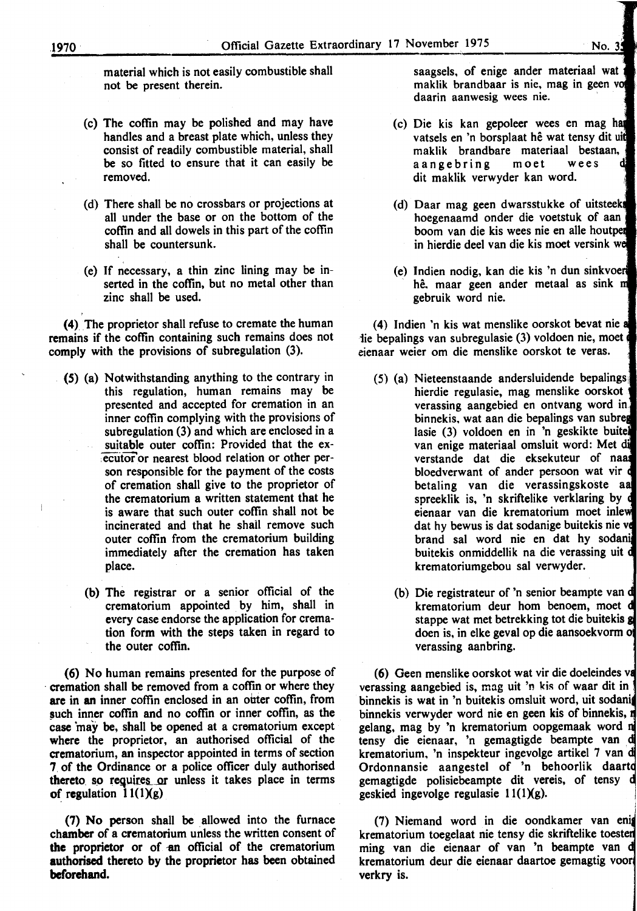- material which is not easily combustible shall not be present therein.
- (c) The coffin may be polished and may have handles and a breast plate which, unless they consist of readily combustible material, shall be so fitted to ensure that it can easily be removed.
- (d) There shall be no crossbars or projections at all under the base or on the bottom of the coffin and all dowels in this part of the coffin shall be countersunk.
- (e) If necessary, a thin zinc lining may be inserted in the coffin, but no metal other than zinc shall be used.

(4) The proprietor shall refuse to cremate the human remains if the coffin containing such remains does not comply with the provisions of subregulation (3).

- (5) (a) Notwithstanding anything to the contrary in this regulation, human remains may be presented and accepted for cremation in an inner coffin complying with the provisions of subregulation (3) and which are enclosed in a suitable outer coffin: Provided that the executor or nearest blood relation or other person responsible for the payment of the costs of cremation shall give to the proprietor of the crematorium a written statement that he is aware that such outer coffin shall not be incinerated and that he shail remove such outer coffin from the crematorium building immediately after the cremation has taken place.
	- (b) The registrar or a senior official of the crematorium appointed by him, shall in every case endorse the application for cremation form with the steps taken in regard to the outer coffin.

(6) No human remains presented for the purpose of · cremation shall be removed from a coffm or where they are in an inner coffin enclosed in an outer coffin, from such inner coffin and no coffin or inner coffin, as the case 'may be, shall be opened at a crematorium except where the proprietor, an authorised official of the crematorium, an inspector appointed in terms of section 7. of the Ordinance or a police officer duly authorised thereto so requires or unless it takes place in terms of regulation  $11(1)(g)$ 

(7) No person shall be allowed into the furnace chamber of a crematorium unless the written consent of the proprietor or of an official of the crematorium authorised thereto by the proprietor has been obtained beforehand.

saagsels, of enige ander materiaal wat maklik brandbaar is nie, mag in geen v daarin aanwesig wees nie.

- (c) Die kis kan gepoleer wees en mag h vatsels en 'n borsplaat hê wat tensy dit uit maklik brandbare materiaal bestaan, aangebring moet wees dit maklik verwyder kan word.
- (d) Daar mag geen dwarsstukke of uitsteek hoegenaamd onder die voetstuk of aan boom van die kis wees nie en aile houtpe in hierdie deel van die kis moet versink w
- (e) Indien nodig, kan die kis 'n dun sinkvoe hê, maar geen ander metaal as sink m gebruik word nie.

(4) Indien 'n kis wat menslike oorskot bevat nie iie bepalings van subregulasie (3) voldoen nie, moet eienaar weier om die menslike oorskot te veras.

- (5) (a) Nieteenstaande andersluidende bepalings hierdie regulasie, mag menslike oorskot verassing aangebied en ontvang word in binnekis, wat aan die bepalings van subre lasie (3) voldoen en in 'n geskikte buite van enige materiaal omsluit word: Met d verstande dat die eksekuteur of na bloedverwant of ander persoon wat vir betaling van die verassingskoste a spreeklik is, 'n skriftelike verklaring by eienaar van die krematorium moet inle dat hy bewus is dat sodanige buitekis nie v brand sal word nie en dat hy sodani buitekis onmiddellik na die verassing uit krematoriumgebou sal verwyder.
	- (b) Die registrateur of 'n senior beampte van d krematorium deur hom benoem, moet stappe wat met betrekking tot die buitekis doen is, in elke geval op die aansoekvorm verassing aanbring.

(6) Geen menslike oorskot wat vir die doeleindes v verassing aangebied is, mag uit 'n kis of waar dit in  $\frac{1}{2}$ binnekis is wat in 'n buitekis omsluit word, uit sodani binnekis verwyder word nie en geen kis of binnekis, gelang, mag by 'n krematorium oopgemaak word tensy die eienaar, 'n gemagtigde beampte van d krematorium, 'n inspekteur ingevolge artikel 7 van Ordonnansie aangestel of 'n behoorlik daart gemagtigde polisiebeampte dit vereis, of tensy geskied ingevolge regulasie  $11(1)(g)$ .

(7) Niemand word in die oondkamer van en' krematorium toegelaat nie tensy die skriftelike toeste ming van die eienaar of van 'n beampte van krematorium deur die eienaar daartoe gemagtig voor verkry is.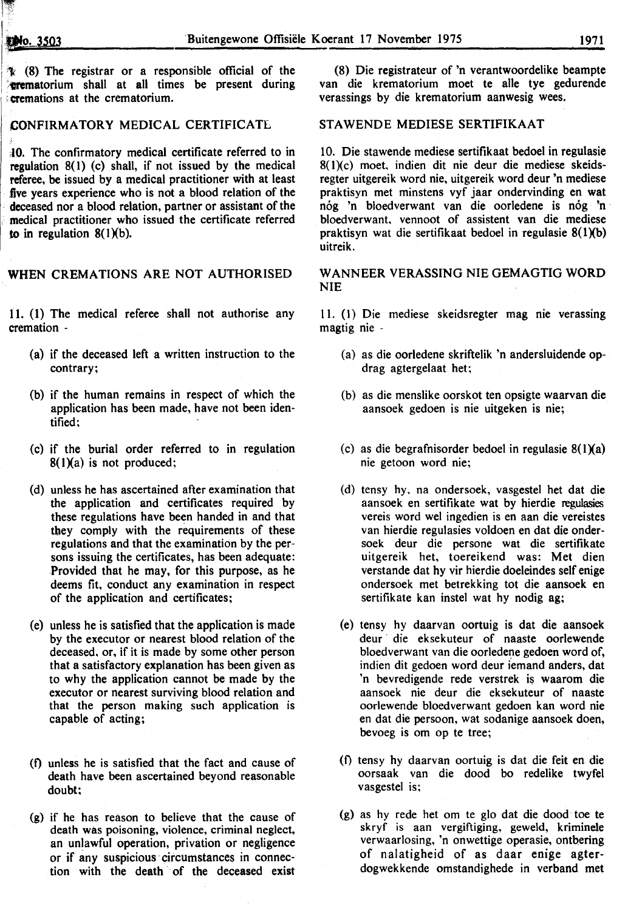~· "~:',

<sup>1</sup>/ (8) The registrar or a responsible official of the (8) Die registrateur of 'n verantwoordelike beampte in the type of the type of the type of the type of the type of the type of the type of the type of the type of the :cremations at the crematorium. verassings by die krematorium aanwesig wees.

#### CONFIRMATORY MEDICAL CERTIFICATE

;{0. The confirmatory medical certificate referred to in regulation 8(1) (c) shall, if not issued by the medical referee, be issued by a medical practitioner with at least .five years experience who is not a blood relation of the deceased nor a blood relation, partner or assistant of the medical practitioner who issued the certificate referred to in regulation  $8(1)(b)$ .

# WHEN CREMATIONS ARE NOT AUTHORISED

11. (1) The medical referee shall not authorise any cremation -

- (a) if the deceased left a written instruction to the contrary;
- (b) if the human remains in respect of which the application has been made, have not been identified;
- (c) if the burial order referred to in regulation  $8(1)(a)$  is not produced;
- (d) unless he has ascertained after examination that the application and certificates required by these regulations have been handed in and that they comply with the requirements of these regulations and that the examination by the persons issuing the certificates, has been adequate: Provided that he may, for this purpose, as he deems fit, conduct any examination in respect of the application and certificates;
- (e) unless he is satisfied that the application is made by the executor or nearest blood relation of the deceased, or, if it is made by some other person that a satisfactory explanation has been given as to why the application cannot be made by the executor or nearest surviving blood relation and that the person making such application is capable of acting;
- <0 unless he is satisfied that the fact and cause of death have been ascertained beyond reasonable doubt;
- (g) if he has reason to believe that the cause of death was poisoning, violence, criminal neglect, an unlawful operation, privation or negligence or if any suspicious circumstances in connection with the death of the deceased exist

van die krematorium moet te alle tye gedurende

#### STAWENDE MEDIESE SERTIFIKAAT

10. Die stawende mediese sertifikaat bedoel in regulasie 8(l)(c) moet, indien dit nie deur die mediese skeidsregter uitgereik word nie, uitgereik word deur 'n mediese praktisyn met minstens vyf jaar ondervinding en wat nog 'n bloedverwant van die oorledene is nog 'n bloedverwant, vennoot of assistent van die mediese praktisyn wat die sertifikaat bedoel in regulasie 8(1Xb) uitreik.

#### W ANNEER VERASSING NIE GEMAGTIG WORD NIE

II. (I) Die mediese skeidsregter mag nie verassing magtig nie -

- (a) as die oorledene skriftelik 'n andersluidende opdrag agtergelaat het;
- (b) as die menslike oorskot ten opsigte waarvan die aansoek gedoen is nie uitgeken is nie;
- (c) as die begrafnisorder bedoel in regulasie  $8(1)(a)$ nie getoon word nie;
- (d) tensy hy, na ondersoek, vasgestel het dat die aansoek en sertifikate wat by hierdie regulasies vereis word wei ingedien is en aan die vereistes van hierdie regulasies voldoen en dat die ondersoek deur die persone wat die sertifikate uitgereik het, toereikend was: Met dien verstande dat hy vir hierdie doeleindes self enige ondersoek met betrekking tot die aansoek en sertifikate kan instel wat hy nodig ag;
- (e) tensy hy daarvan oortuig is dat die aansoek deur die eksekuteur of naaste oorlewende bloedverwant van die oorledene gedoen word of, indien dit gedoen word deur iemand anders, dat 'n bevredigende rede verstrek is waarom die aansoek nie deur die eksekuteur of naaste oorlewende bloedverwant gedoen kan word nie en dat die persoon, wat sodanige aansoek doen, bevoeg is om op te tree;
- (f) tensy hy daarvan oortuig is dat die feit en die oorsaak van die dood bo redelike twyfel vasgestel is;
- (g) as hy rede het om te glo dat die dood · toe te skryf is aan vergiftiging, geweld, kriminele verwaarlosing, 'n onwettige operasie, ontbering of nalatigheid of as daar enige agterdogwekkende omstandighede in verband met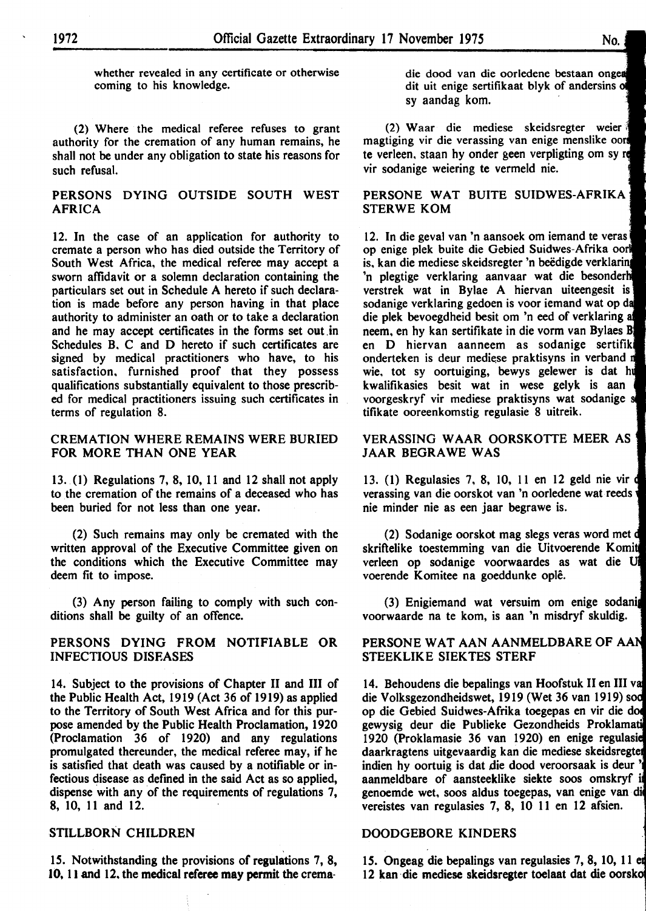whether revealed in any certificate or otherwise coming to his knowledge.

(2) Where the medical referee refuses to grant authority for the cremation of any human remains, he shall not be under any obligation to state his reasons for such refusal.

#### PERSONS DYING OUTSIDE SOUTH WEST AFRICA

12. In the case of an application for authority to cremate a person who has died outside the Territory of South West Africa, the medical referee may accept a sworn affidavit or a solemn declaration containing the particulars set out in Schedule A hereto if such declaration is made before any person having in that place authority to administer an oath or to take a declaration and he may accept certificates in the forms set out in Schedules B. C and D hereto if such certificates are signed by medical practitioners who have, to his satisfaction. furnished proof that they possess qualifications substantially equivalent to those prescribed for medical practitioners issuing such certificates in terms of regulation 8.

#### CREMATION WHERE REMAINS WERE BURIED FOR MORE THAN ONE YEAR

13. (1) Regulations 7, 8, 10, II and 12 shall not apply to the cremation of the remains of a deceased who has been buried for not less than one year.

(2) Such remains may only be cremated with the written approval of the Executive Committee given on the conditions which the Executive Committee may deem fit to impose.

(3) Any person failing to comply with such conditions shall be guilty of an offence.

#### PERSONS DYING FROM NOTIFIABLE OR INFECTIOUS DISEASES

14. Subject to the provisions of Chapter II and III of the Public Health Act, 1919 (Act 36 of 1919) as applied to the Territory of South West Africa and for this purpose amended by the Public Health Proclamation, 1920 (Proclamation 36 of 1920) and any regulations promulgated thereunder, the medical referee may, if he is satisfied that death was caused by a notifiable or infectious disease as defined in the said Act as so applied, dispense with any of the requirements of regulations 7, 8, 10, 11 and 12.

#### STILLBORN CHILDREN

IS. Notwithstanding the provisions of regulations 7, 8, 10, II and 12. the medical referee may permit the crema·

die dood van die oorledene bestaan dit uit enige sertifikaat blyk of andersins of sy aandag kom.

(2) Waar die mediese skeidsregter weier magtiging vir die verassing van enige menslike te verleen. staan hy onder geen verpligting om sy vir sodanige weiering te vermeld nie.

#### PERSONE WAT BUITE SUIDWES-AFRIKA STERWE KOM

12. In die geval van 'n aansoek om iemand te veras op enige plek buite die Gebied Suidwes-Afrika is, kan die mediese skeidsregter 'n beëdigde verklaring 'n plegtige verklaring aanvaar wat die verstrek wat in Bylae A hiervan uiteengesit is sodanige verklaring gedoen is voor iemand wat op die plek bevoegdheid besit om 'n eed of verklaring neem, en hy kan sertifikate in die vorm van Bylaes en D hiervan aanneem as sodanige serti onderteken is deur mediese praktisyns in verband n wie, tot sy oortuiging, bewys gelewer is dat hu kwalifikasies besit wat in wese gelyk is aan voorgeskryf vir mediese praktisyns wat sodanige tifikate ooreenkomstig regulasie 8 uitreik.

#### VERASSING W AAR OORSKOTTE MEER AS JAAR BEGRAWE WAS

13. ( 1) Regulasies 7, 8, 10, II en 12 geld nie vir verassing van die oorskot van 'n oorledene wat reeds nie minder nie as een jaar begrawe is.

(2) Sodanige oorskot mag slegs veras word met skriftelike toestemming van die Uitvoerende Komit verleen op sodanige voorwaardes as wat die voerende Komitee na goeddunke ople.

(3) Enigiemand wat versuim om enige voorwaarde na te kom, is aan 'n misdryf skuldig.

#### PERSONE WAT AAN AANMELDBARE OF AAN STEEKLIKE SIEKTES STERF

14. Behoudens die bepalings van Hoofstuk II en III die Volksgezondheidswet, 1919 (Wet 36 van 1919) op die Gebied Suidwes-Afrika toegepas en vir die gewysig deur die Publieke Gezondheids 1920 (Proklamasie 36 van 1920) en enige regulasiel daarkragtens uitgevaardig kan die mediese skeidsregtet indien hy oortuig is dat die dood veroorsaak is deur aanmeldbare of aansteeklike siekte soos omskryf genoemde wet, soos aldus toegepas, van enige van vereistes van regulasies 7, 8, 10 II en 12 afsien.

#### DOODGEBORE KINDERS

15. Ongeag die bepalings van regulasies 7, 8, 10, 11 et 12 kan die mediese skeidsregter toelaat dat die oorsko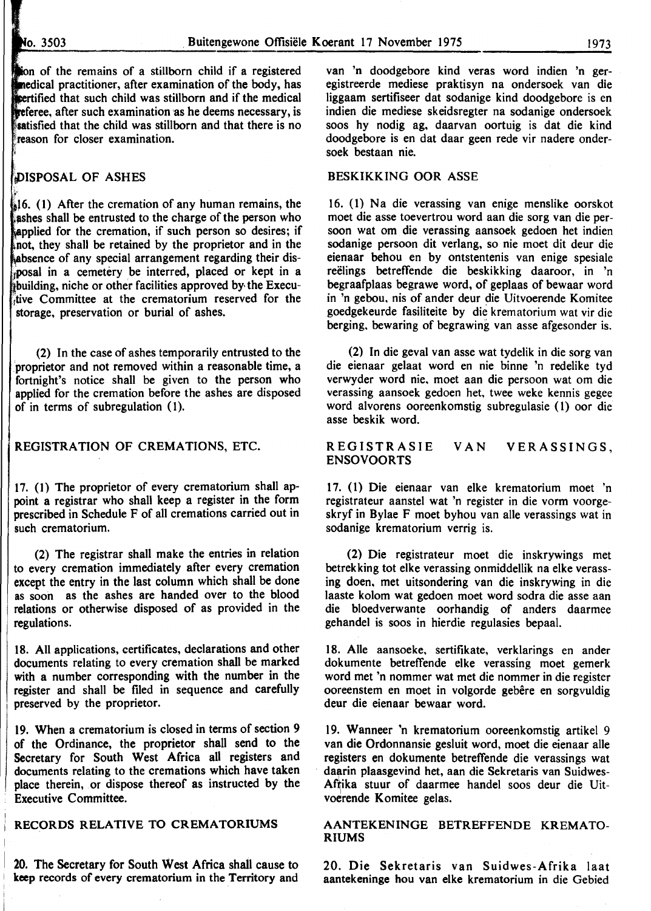$\pi$  .

ion of the remains of a stillborn child if a registered medical practitioner, after examination of the body, has pertified that such child was stillborn and if the medical **freferee, after such examination as he deems necessary, is** statisfied that the child was stillborn and that there is no reason for closer examination.

# DISPOSAL OF ASHES

 $\frac{1}{2}$ 16. (1) After the cremation of any human remains, the ashes shall be entrusted to the charge of the person who applied for the cremation, if such person so desires; if not, they shall be retained by the proprietor and in the absence of any special arrangement regarding their dis-,iposal in a cemetery be interred, placed or kept in a building, niche or other facilities approved by the Execu-{tive Committee at the crematorium reserved for the storage, preservation or burial of ashes.

(2) In the case of ashes temporarily entrusted to the 'proprietor and not removed within a reasonable time, a fortnight's notice shall be given to the person who applied for the cremation before the ashes are disposed of in terms of subregulation (I).

#### REGISTRATION OF CREMATIONS, ETC.

I7. (I) The proprietor of every crematorium shall appoint a registrar who shall keep a register in the form prescribed in Schedule F of all cremations carried out in such crematorium.

(2) The registrar shall make the entries in relation to every cremation immediately after every cremation except the entry in the last column which shall be done as soon as the ashes are handed over to the blood relations or otherwise disposed of as provided in the regulations.

I8. All applications, certificates, declarations and other documents relating to every cremation shall be marked with a number corresponding with the number in the register and shall be filed in sequence and carefully preserved by the proprietor.

19. When a crematorium is closed in terms of section 9 of the Ordinance, the proprietor shall send to the Secretary for South West Africa all registers and documents relating to the cremations which have taken place therein, or dispose thereof as instructed by the Executive Committee.

# RECORDS RELATIVE TO CREMATORIUMS

20. The Secretary for South West Africa shall cause to 1 **keep** records of every crematorium in the Territory and

van 'n doodgebore kind veras word indien 'n geregistreerde mediese praktisyn na ondersoek van die liggaam sertifiseer dat sodanige kind doodgebore is en indien die mediese skeidsregter na sodanige ondersoek soos hy nodig ag, daarvan oortuig is dat die kind doodgebore is en dat daar geen rede vir nadere ondersoek bestaan nie.

#### BESKIKKING OOR ASSE

16. (1) Na die verassing van enige menslike oorskot moet die asse toevertrou word aan die sorg van die persoon wat om die verassing aansoek gedoen het indien sodanige persoon dit verlang, so nie moet dit deur die eienaar behou en by ontstentenis van enige spesiale reëlings betreffende die beskikking daaroor, in 'n begraafplaas begrawe word, of geplaas of bewaar word in 'n gebou, nis of ander deur die Uitvoerende Komitee goedgekeurde fasiliteite by die krematorium wat vir die berging, bewaring of begrawing van asse afgesonder is.

(2) In die geval van asse wat tydelik in die sorg van die eienaar gelaat word en nie binne 'n redelike tyd verwyder word nie, moet aan die persoon wat om die verassing aansoek gedoen bet, twee weke kennis gegee word alvorens ooreenkomstig subregulasie (1) oor die asse beskik word.

#### REGISTRASIE ENSOVOORTS VAN VERASSINGS,

I7. (1) Die eienaar van elke krematorium moet 'n registrateur aanstel wat 'n register in die vorm voorgeskryf in Bylae F moet byhou van aile verassings wat in sodanige krematorium verrig is.

(2) Die registrateur moet die inskrywings met betrekking tot elke verassing onmiddellik na elke verassing doen, met uitsondering van die inskrywing in die laaste kolom wat gedoen moet word sodra die asse aan die bloedverwante oorhandig of anders daarmee gehandel is soos in hierdie regulasies bepaal.

I8. Aile aansoeke, sertifikate, verklarings en ander dokumente betretTende elke verassing moet gemerk word met 'n nommer wat met die nommer in die register ooreenstem en moet in volgorde gebêre en sorgvuldig deur die eienaar bewaar word.

19. Wanneer 'n krematorium ooreenkomstig artikel 9 van die Ordonnansie gesluit word, moet die eienaar aile registers en dokumente betretTende die verassings wat daarin plaasgevind het, aan die Sekretaris van Suidwes-Afrika stuur of daarmee handel soos deur die Uitvoerende Komitee gelas.

#### AANTEKENINGE BETREFFENDE KREMATO-RIUMS

20. Die Sekretaris van Suidwes-Afrika laat aantekeninge hou van elke krematorium in die Gebied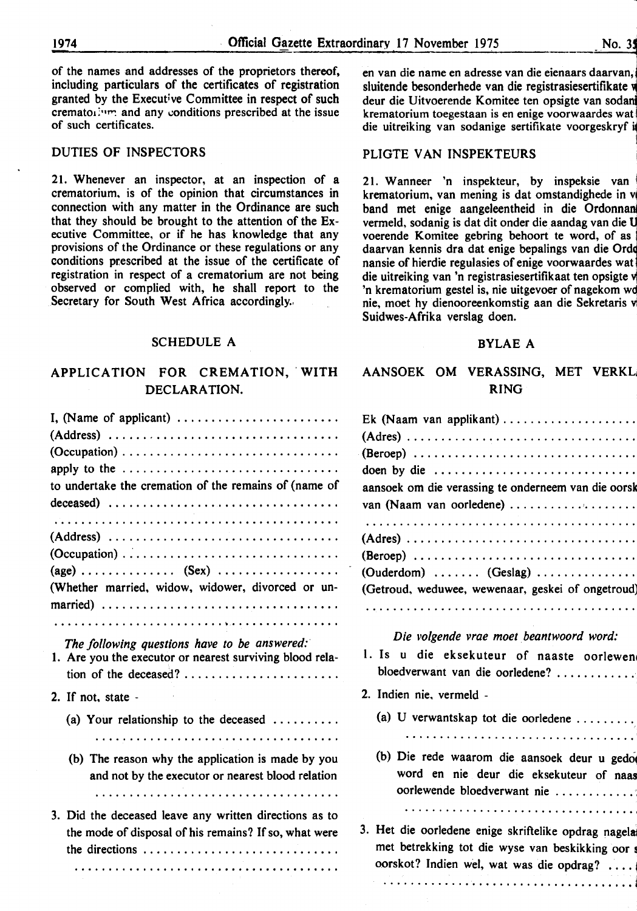of the names and addresses of the proprietors thereof, including particulars of the certificates of registration granted by the Executive Committee in respect of such cremato $1$ <sup>\*\*\*</sup> and any conditions prescribed at the issue of such certificates.

### DUTIES OF INSPECTORS

21. Whenever an inspector, at an inspection of a crematorium, is of the opinion that circumstances in connection with any matter in the Ordinance are such that they should be brought to the attention of the Executive Committee, or if he has knowledge that any provisions of the Ordinance or these regulations or any conditions prescribed at the issue of the certificate of registration in respect of a crematorium are not being observed or complied with, he shall report to the Secretary for South West Africa accordingly.

#### SCHEDULE A

# APPLICATION FOR CREMATION, WITH DECLARATION.

| I, (Name of applicant) $\dots \dots \dots \dots \dots \dots \dots \dots$<br>apply to the $\dots \dots \dots \dots \dots \dots \dots \dots \dots \dots \dots \dots$<br>to undertake the cremation of the remains of (name of |
|-----------------------------------------------------------------------------------------------------------------------------------------------------------------------------------------------------------------------------|
| $(Address) \dots \dots \dots \dots \dots \dots \dots \dots \dots \dots \dots \dots$<br>$(Occupation) \dots \dots \dots \dots \dots \dots \dots \dots \dots \dots \dots \dots$                                               |
| (Whether married, widow, widower, divorced or un-                                                                                                                                                                           |
| The following questions have to be answered:<br>1. Are you the executor or nearest surviving blood rela-<br>tion of the deceased?                                                                                           |
| 2. If not, state -                                                                                                                                                                                                          |
| (a) Your relationship to the deceased $\ldots \ldots \ldots$                                                                                                                                                                |
| (b) The reason why the application is made by you<br>and not by the executor or nearest blood relation                                                                                                                      |
| 3. Did the deceased leave any written directions as to<br>the mode of disposal of his remains? If so, what were<br>the directions                                                                                           |

i en van die name en adresse van die eienaars daarvan, i sluitende besonderhede van die registrasiesertifikate w deur die Uitvoerende Komitee ten opsigte van soda krematorium toegestaan is en enige voorwaardes wat die uitreiking van sodanige sertifikate voorgeskryf i l

#### PLIGTE VAN INSPEKTEURS

21. Wanneer 'n inspekteur, by inspeksie van <sup>~</sup> krematorium, van mening is dat omstandighede in v band met enige aangeleentheid in die Ordonnan vermeld, sodanig is dat dit onder die aandag van die Q voerende Komitee gebring behoort te word, of as daarvan kennis dra dat enige bepalings van die Orde nansie of hierdie regulasies of enige voorwaardes wat 1 die uitreiking van 'n registrasiesertifikaat ten opsigte v 'n krematorium gestel is, nie uitgevoer of nagekom wq nie, moet hy dienooreenkomstig aan die Sekretaris v Suidwes-Afrika verslag doen.

#### BYLAE A

# AANSOEK OM VERASSING, MET VERKL, RING

| Ek (Naam van applikant)                                                         |  |  |  |  |  |  |  |  |
|---------------------------------------------------------------------------------|--|--|--|--|--|--|--|--|
|                                                                                 |  |  |  |  |  |  |  |  |
|                                                                                 |  |  |  |  |  |  |  |  |
| doen by die $\dots \dots \dots \dots \dots \dots \dots \dots \dots \dots$       |  |  |  |  |  |  |  |  |
| aansoek om die verassing te onderneem van die oorsk<br>van (Naam van oorledene) |  |  |  |  |  |  |  |  |
|                                                                                 |  |  |  |  |  |  |  |  |
|                                                                                 |  |  |  |  |  |  |  |  |
| $(Beroep)$                                                                      |  |  |  |  |  |  |  |  |
| $(Ouderdom)$ $(Geslag)$                                                         |  |  |  |  |  |  |  |  |
| (Getroud, weduwee, wewenaar, geskei of ongetroud)                               |  |  |  |  |  |  |  |  |

#### *Die volgende vrae moet. beantwoord word:*

- 1. Is u die eksekuteur of naaste oorlewen bloedverwant van die oorledene? . .......... ..
- 2. lndien nie, vermeld
	- (a) U verwantskap tot die oorledene ........ .
	- ..................................
	- (b) Die rede waarom die aansoek deur u gedo word en nie deur die eksekuteur of naas oorlewende bloedverwant nie ............ : •••••••••••••••••••••••••••••••••• t

3. Het die oorledene enige skriftelike opdrag nagela met betrekking tot die wyse van beskikking oor s oorskot? Indien wel, wat was die opdrag? ....

••••••••••.•••••••••••••••••••••••••• j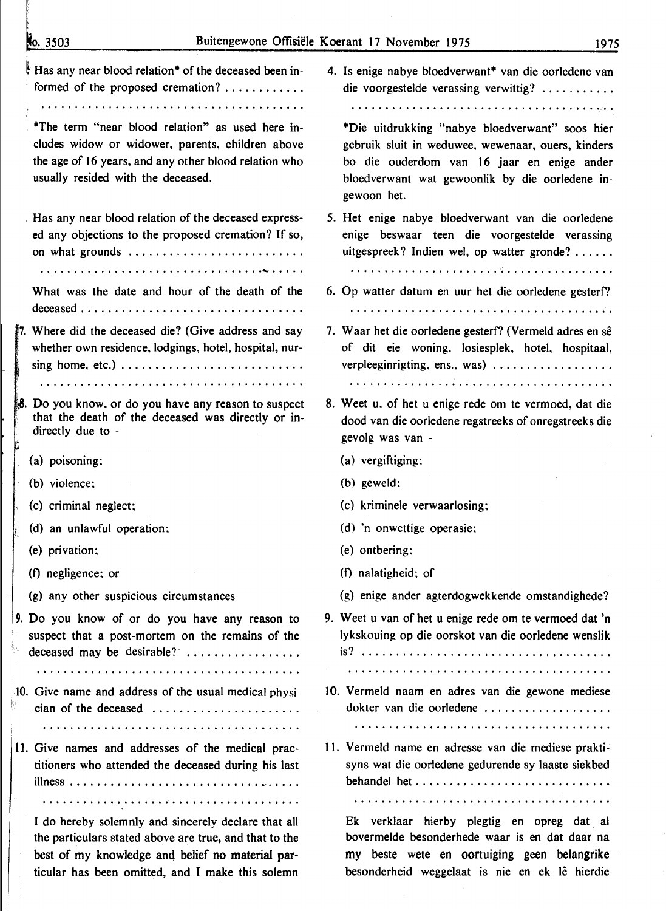| No. 3503                                                                                                                                                                                            | Buitengewone Offisiële Koerant 17 November 1975<br>1975                                                                                                                                                               |
|-----------------------------------------------------------------------------------------------------------------------------------------------------------------------------------------------------|-----------------------------------------------------------------------------------------------------------------------------------------------------------------------------------------------------------------------|
| Has any near blood relation* of the deceased been in-<br>formed of the proposed cremation?                                                                                                          | 4. Is enige nabye bloedverwant* van die oorledene van<br>die voorgestelde verassing verwittig?                                                                                                                        |
| *The term "near blood relation" as used here in-<br>cludes widow or widower, parents, children above<br>the age of 16 years, and any other blood relation who<br>usually resided with the deceased. | *Die uitdrukking "nabye bloedverwant" soos hier<br>gebruik sluit in weduwee, wewenaar, ouers, kinders<br>bo die ouderdom van 16 jaar en enige ander<br>bloedverwant wat gewoonlik by die oorledene in-<br>gewoon het. |
| Has any near blood relation of the deceased express-<br>ed any objections to the proposed cremation? If so,<br>on what grounds                                                                      | 5. Het enige nabye bloedverwant van die oorledene<br>enige beswaar teen die voorgestelde verassing<br>uitgespreek? Indien wel, op watter gronde?                                                                      |
| What was the date and hour of the death of the                                                                                                                                                      | 6. Op watter datum en uur het die oorledene gesterf?                                                                                                                                                                  |
| 7. Where did the deceased die? (Give address and say<br>whether own residence, lodgings, hotel, hospital, nur-<br>sing home, etc.) $\ldots$                                                         | 7. Waar het die oorledene gesterf? (Vermeld adres en sê<br>of dit eie woning, losiesplek, hotel, hospitaal,<br>verpleeginrigting, ens., was)                                                                          |
| 8. Do you know, or do you have any reason to suspect<br>that the death of the deceased was directly or in-<br>directly due to -                                                                     | 8. Weet u, of het u enige rede om te vermoed, dat die<br>dood van die oorledene regstreeks of onregstreeks die<br>gevolg was van -                                                                                    |
| (a) poisoning;                                                                                                                                                                                      | (a) vergiftiging;                                                                                                                                                                                                     |
| (b) violence:                                                                                                                                                                                       | (b) geweld:                                                                                                                                                                                                           |
| $\le$ (c) criminal neglect;                                                                                                                                                                         | (c) kriminele verwaarlosing;                                                                                                                                                                                          |
| (d) an unlawful operation;                                                                                                                                                                          | (d) 'n onwettige operasie;                                                                                                                                                                                            |
| (e) privation;                                                                                                                                                                                      | (e) ontbering:                                                                                                                                                                                                        |
| (f) negligence; or                                                                                                                                                                                  | (f) nalatigheid; of                                                                                                                                                                                                   |
| (g) any other suspicious circumstances                                                                                                                                                              | (g) enige ander agterdogwekkende omstandighede?                                                                                                                                                                       |
| 9. Do you know of or do you have any reason to<br>suspect that a post-mortem on the remains of the<br>陈。<br>deceased may be desirable?                                                              | 9. Weet u van of het u enige rede om te vermoed dat 'n<br>lykskouing op die oorskot van die oorledene wenslik                                                                                                         |
| 10. Give name and address of the usual medical physi-<br>cian of the deceased                                                                                                                       | 10. Vermeld naam en adres van die gewone mediese<br>dokter van die oorledene                                                                                                                                          |
| 11. Give names and addresses of the medical prac-<br>titioners who attended the deceased during his last                                                                                            | 11. Vermeld name en adresse van die mediese prakti-<br>syns wat die oorledene gedurende sy laaste siekbed                                                                                                             |
|                                                                                                                                                                                                     |                                                                                                                                                                                                                       |
| I do hereby solemnly and sincerely declare that all<br>the particulars stated above are true, and that to the<br>best of my knowledge and belief no material par-                                   | Ek verklaar hierby plegtig en opreg dat al<br>bovermelde besonderhede waar is en dat daar na<br>my beste wete en oortuiging geen belangrike                                                                           |

besonderheid weggelaat is nie en ek lê hierdie

ticular has been omitted, and I make this solemn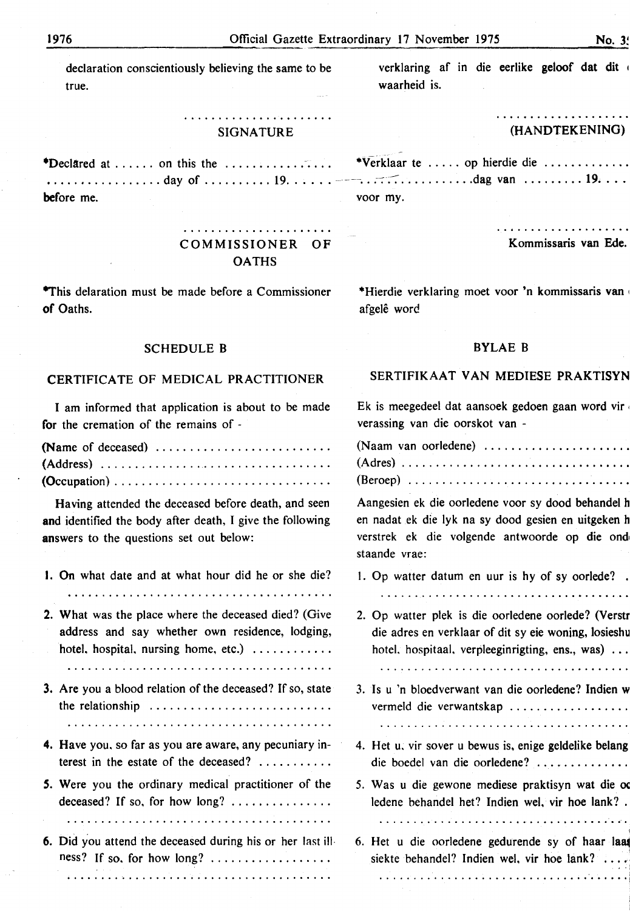declaration conscientiously believing the same to be true.

#### **SIGNATURE**

\*Declared at ...... on this the ................. ..................day of ........... 19....... — before me.

> COMMISSIONER OF **OATHS**

**\*This delaration must be made before a Commissioner** of Oaths.

# **SCHEDULE B**

# CERTIFICATE OF MEDICAL PRACTITIONER

I am informed that application is about to be made for the cremation of the remains of -

Having attended the deceased before death, and seen and identified the body after death, I give the following answers to the questions set out below:

- 1. On what date and at what hour did he or she die?
- 2. What was the place where the deceased died? (Give address and say whether own residence, lodging, hotel, hospital, nursing home, etc.)  $\ldots$ ........
- 3. Are you a blood relation of the deceased? If so, state the relationship ...........................
- 4. Have you, so far as you are aware, any pecuniary interest in the estate of the deceased? ..........
- 5. Were you the ordinary medical practitioner of the deceased? If so, for how  $\log$ ? ..............
- 6. Did you attend the deceased during his or her last illness? If so, for how long?  $\dots \dots \dots \dots \dots \dots$

verklaring af in die eerlike geloof dat dit waarheid is.

#### . . . . . . . . . . . . . . . . . . . . (HANDTEKENING)

| *Verklaar te  op hierdie die |  |  |  |  |  |  |
|------------------------------|--|--|--|--|--|--|
|                              |  |  |  |  |  |  |
| voor my.                     |  |  |  |  |  |  |

. . . . . . . . . . . . . . . . . . . Kommissaris van Ede.

\*Hierdie verklaring moet voor 'n kommissaris van afgelê word

# **BYLAE B**

# SERTIFIKAAT VAN MEDIESE PRAKTISYN

Ek is meegedeel dat aansoek gedoen gaan word vir verassing van die oorskot van -

| (Naam van oorledene) |  |  |  |  |  |  |  |  |  |  |  |  |  |  |  |  |
|----------------------|--|--|--|--|--|--|--|--|--|--|--|--|--|--|--|--|
|                      |  |  |  |  |  |  |  |  |  |  |  |  |  |  |  |  |
|                      |  |  |  |  |  |  |  |  |  |  |  |  |  |  |  |  |

Aangesien ek die oorledene voor sy dood behandel h en nadat ek die lyk na sy dood gesien en uitgeken h verstrek ek die volgende antwoorde op die ond staande vrae:

1. Op watter datum en uur is hy of sy oorlede?.

2. Op watter plek is die oorledene oorlede? (Verstr die adres en verklaar of dit sy eie woning, losieshu hotel, hospitaal, verpleeginrigting, ens., was) ...

- 3. Is u 'n bloedverwant van die oorledene? Indien w vermeld die verwantskap .................
- 4. Het u, vir sover u bewus is, enige geldelike belang die boedel van die oorledene? .............
- 5. Was u die gewone mediese praktisyn wat die oo ledene behandel het? Indien wel, vir hoe lank?.

6. Het u die oorledene gedurende sy of haar laat siekte behandel? Indien wel, vir hoe lank?  $\dots$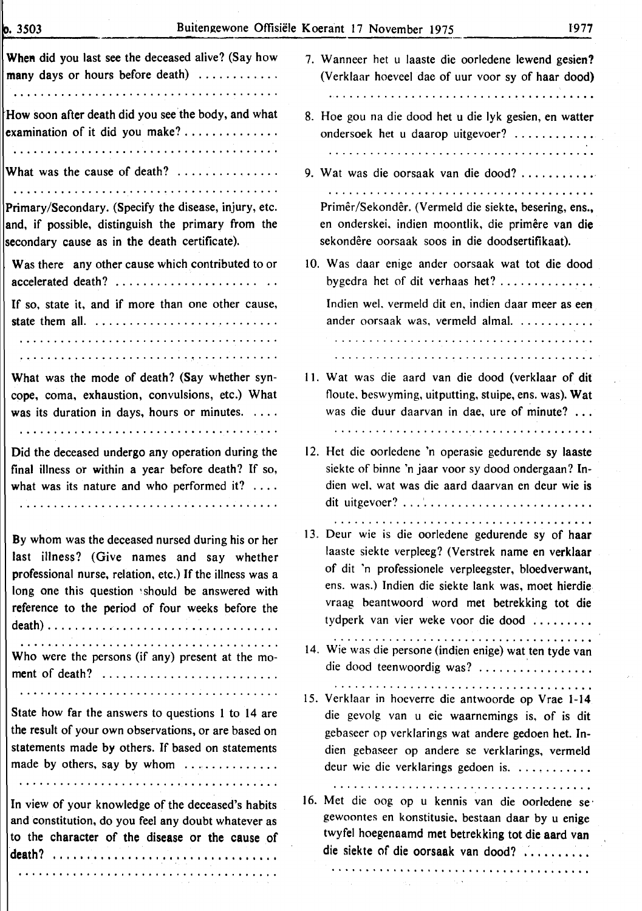$0.3503$ 

 $\hat{r}$ 

| When did you last see the deceased alive? (Say how                                                                                                                                                                                                               | 7. Wanneer het u laaste die oorledene lewend gesien?                                                                                                                                                                                                                                                                                                                                                                                           |
|------------------------------------------------------------------------------------------------------------------------------------------------------------------------------------------------------------------------------------------------------------------|------------------------------------------------------------------------------------------------------------------------------------------------------------------------------------------------------------------------------------------------------------------------------------------------------------------------------------------------------------------------------------------------------------------------------------------------|
| many days or hours before death) $\ldots$                                                                                                                                                                                                                        | (Verklaar hoeveel dae of uur voor sy of haar dood)                                                                                                                                                                                                                                                                                                                                                                                             |
|                                                                                                                                                                                                                                                                  |                                                                                                                                                                                                                                                                                                                                                                                                                                                |
| How soon after death did you see the body, and what                                                                                                                                                                                                              | 8. Hoe gou na die dood het u die lyk gesien, en watter                                                                                                                                                                                                                                                                                                                                                                                         |
| examination of it did you make? $\dots\dots\dots\dots\dots$                                                                                                                                                                                                      | ondersoek het u daarop uitgevoer?                                                                                                                                                                                                                                                                                                                                                                                                              |
|                                                                                                                                                                                                                                                                  |                                                                                                                                                                                                                                                                                                                                                                                                                                                |
| What was the cause of death?                                                                                                                                                                                                                                     | 9. Wat was die oorsaak van die dood?                                                                                                                                                                                                                                                                                                                                                                                                           |
|                                                                                                                                                                                                                                                                  |                                                                                                                                                                                                                                                                                                                                                                                                                                                |
| Primary/Secondary. (Specify the disease, injury, etc.                                                                                                                                                                                                            | Primêr/Sekondêr. (Vermeld die siekte, besering, ens.,                                                                                                                                                                                                                                                                                                                                                                                          |
| and, if possible, distinguish the primary from the                                                                                                                                                                                                               | en onderskei, indien moontlik, die primêre van die                                                                                                                                                                                                                                                                                                                                                                                             |
| secondary cause as in the death certificate).                                                                                                                                                                                                                    | sekondêre oorsaak soos in die doodsertifikaat).                                                                                                                                                                                                                                                                                                                                                                                                |
| Was there any other cause which contributed to or                                                                                                                                                                                                                | 10. Was daar enige ander oorsaak wat tot die dood                                                                                                                                                                                                                                                                                                                                                                                              |
| accelerated death?                                                                                                                                                                                                                                               | by gedra het of dit verhaas het? $\dots\dots\dots\dots\dots$                                                                                                                                                                                                                                                                                                                                                                                   |
| If so, state it, and if more than one other cause,                                                                                                                                                                                                               | Indien wel, vermeld dit en, indien daar meer as een                                                                                                                                                                                                                                                                                                                                                                                            |
|                                                                                                                                                                                                                                                                  | ander oorsaak was, vermeld almal.                                                                                                                                                                                                                                                                                                                                                                                                              |
|                                                                                                                                                                                                                                                                  |                                                                                                                                                                                                                                                                                                                                                                                                                                                |
|                                                                                                                                                                                                                                                                  |                                                                                                                                                                                                                                                                                                                                                                                                                                                |
| What was the mode of death? (Say whether syn-                                                                                                                                                                                                                    | 11. Wat was die aard van die dood (verklaar of dit                                                                                                                                                                                                                                                                                                                                                                                             |
| cope, coma, exhaustion, convulsions, etc.) What                                                                                                                                                                                                                  | floute, beswyming, uitputting, stuipe, ens. was). Wat                                                                                                                                                                                                                                                                                                                                                                                          |
| was its duration in days, hours or minutes. $\dots$                                                                                                                                                                                                              | was die duur daarvan in dae, ure of minute?                                                                                                                                                                                                                                                                                                                                                                                                    |
|                                                                                                                                                                                                                                                                  |                                                                                                                                                                                                                                                                                                                                                                                                                                                |
| Did the deceased undergo any operation during the                                                                                                                                                                                                                | 12. Het die oorledene 'n operasie gedurende sy laaste                                                                                                                                                                                                                                                                                                                                                                                          |
| final illness or within a year before death? If so,                                                                                                                                                                                                              | siekte of binne 'n jaar voor sy dood ondergaan? In-                                                                                                                                                                                                                                                                                                                                                                                            |
| what was its nature and who performed it? $\dots$                                                                                                                                                                                                                | dien wel, wat was die aard daarvan en deur wie is                                                                                                                                                                                                                                                                                                                                                                                              |
|                                                                                                                                                                                                                                                                  |                                                                                                                                                                                                                                                                                                                                                                                                                                                |
| By whom was the deceased nursed during his or her<br>last illness? (Give names and say whether<br>professional nurse, relation, etc.) If the illness was a<br>long one this question should be answered with<br>reference to the period of four weeks before the | 13. Deur wie is die oorledene gedurende sy of haar<br>laaste siekte verpleeg? (Verstrek name en verklaar<br>of dit 'n professionele verpleegster, bloedverwant,<br>ens. was.) Indien die siekte lank was, moet hierdie<br>vraag beantwoord word met betrekking tot die<br>tydperk van vier weke voor die dood                                                                                                                                  |
|                                                                                                                                                                                                                                                                  |                                                                                                                                                                                                                                                                                                                                                                                                                                                |
| Who were the persons (if any) present at the mo-                                                                                                                                                                                                                 | 14. Wie was die persone (indien enige) wat ten tyde van                                                                                                                                                                                                                                                                                                                                                                                        |
| ment of death?                                                                                                                                                                                                                                                   | die dood teenwoordig was?                                                                                                                                                                                                                                                                                                                                                                                                                      |
|                                                                                                                                                                                                                                                                  |                                                                                                                                                                                                                                                                                                                                                                                                                                                |
| State how far the answers to questions 1 to 14 are                                                                                                                                                                                                               | 15. Verklaar in hoeverre die antwoorde op Vrae 1-14.                                                                                                                                                                                                                                                                                                                                                                                           |
| the result of your own observations, or are based on                                                                                                                                                                                                             | die gevolg van u eie waarnemings is, of is dit                                                                                                                                                                                                                                                                                                                                                                                                 |
| statements made by others. If based on statements                                                                                                                                                                                                                | gebaseer op verklarings wat andere gedoen het. In-                                                                                                                                                                                                                                                                                                                                                                                             |
| made by others, say by whom                                                                                                                                                                                                                                      | dien gebaseer op andere se verklarings, vermeld                                                                                                                                                                                                                                                                                                                                                                                                |
|                                                                                                                                                                                                                                                                  | deur wie die verklarings gedoen is.                                                                                                                                                                                                                                                                                                                                                                                                            |
| In view of your knowledge of the deceased's habits<br>and constitution, do you feel any doubt whatever as<br>to the character of the disease or the cause of                                                                                                     | 16. Met die oog op u kennis van die oorledene se<br>gewoontes en konstitusie, bestaan daar by u enige<br>twyfel hoegenaamd met betrekking tot die aard van<br>die siekte of die oorsaak van dood?<br>$\mathcal{L}^{\mathcal{L}}$ . The contract of the space of the space of the space of the space of the space of the space of the space of the space of the space of the space of the space of the space of the space of the space of the s |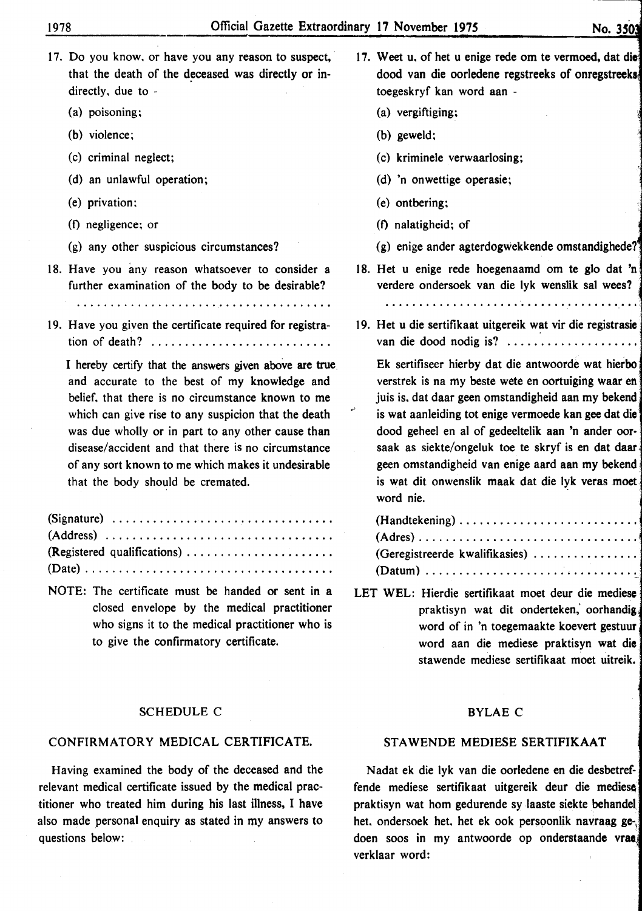- 17. Do you know, or have you any reason to suspect, that the death of the deceased was directly or indirectly, due to -
	- (a) poisoning;
	- (b) violence;
	- (c) criminal neglect;
	- (d) an unlawful operation;
	- (e) privation;
	- (f) negligence; or
	- (g) any other suspicious circumstances?
- 18. Have you any reason whatsoever to consider a further examination of the body to be desirable?

19. Have you given the certificate required for registration of death? .............................

I hereby certify that the answers given above are true and accurate to the best of my knowledge and belief, that there is no circumstance known to me which can give rise to any suspicion that the death was due wholly or in part to any other cause than disease/accident and that there is no circumstance of any sort known to me which makes it undesirable that the body should be cremated.

| (Signature) $\ldots \ldots \ldots \ldots \ldots \ldots \ldots \ldots \ldots \ldots \ldots$ |  |  |  |  |  |  |  |  |  |  |
|--------------------------------------------------------------------------------------------|--|--|--|--|--|--|--|--|--|--|
| $(Address) \dots \dots \dots \dots \dots \dots \dots \dots \dots \dots \dots \dots$        |  |  |  |  |  |  |  |  |  |  |
| (Registered qualifications)                                                                |  |  |  |  |  |  |  |  |  |  |
|                                                                                            |  |  |  |  |  |  |  |  |  |  |

NOTE: The certificate must be handed or sent in a closed envelope by the medical practitioner who signs it to the medical practitioner who is to give the confirmatory certificate.

#### SCHEDULE C

#### CONFIRMATORY MEDICAL CERTIFICATE.

Having examined the body of the deceased and the relevant medical certificate issued by the medical practitioner who treated him during his last illness, I have also made personal enquiry as stated in my answers to questions below:

- 17. Weet u, of het u enige rede om te vermoed, dat die dood van die oorledene regstreeks of onregstreek toegeskryf kan word aan -
	- (a) vergiftiging;
	- (b) geweld;
	- (c) kriminele verwaarlosing;
	- (d) 'n onwettige operasie;
	- (e) ontbering;
	- (f) nalatigheid; of
	- (g) enige ander agterdogwekkende omstandighede?
- 18. Het u enige rede hoegenaamd om te glo dat 'n verdere ondersoek van die lyk wenslik sal wees? •

19. Het u die sertifikaat uitgereik wat vir die registrasie van die dood nodig is? .....................

Ek sertifiseer hierby dat die antwoorde wat hierbo verstrek is na my beste wete en oortuiging waar en juis is, dat daar geen omstandigheid aan my bekend is wat aanleiding tot enige vermoede kan gee dat die dood geheel en al of gedeeltelik aan 'n ander oorsaak as siekte/ongeluk toe te skryf is en dat daar geen omstandigheid van enige aard aan my bekend. is wat dit onwenslik maak dat die lyk veras moet word nie.

| (Geregistreerde kwalifikasies) |  |  |  |  |  |  |  |  |
|--------------------------------|--|--|--|--|--|--|--|--|
|                                |  |  |  |  |  |  |  |  |

LET WEL: Hierdie sertifikaat moet deur die mediese praktisyn wat dit onderteken,' oorhandig word of in 'n toegemaakte koevert gestuur word aan die mediese praktisyn wat die stawende mediese sertifikaat moet uitreik.

#### BYLAE C

### STAWENDE MEDIESE SERTIFIKAAT

Nadat ek die lyk van die oorledene en die desbetreffende mediese sertifikaat uitgereik deur die mediese praktisyn wat hom gedurende sy laaste siekte behandel het. ondersoek het. het ek ook persoonlik navraag gedoen soos in my antwoorde op onderstaande vrae verklaar word: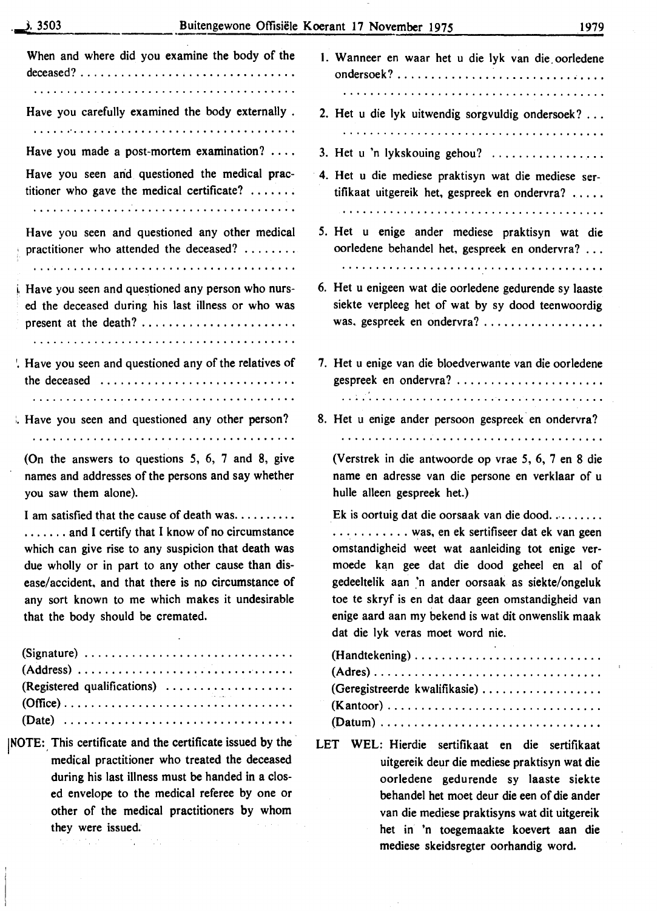| When and where did you examine the body of the                                                                                                                                                                                                                                                                                                                  | 1. Wanneer en waar het u die lyk van die oorledene                                                                                                                                                                                                                                                                                                                                           |
|-----------------------------------------------------------------------------------------------------------------------------------------------------------------------------------------------------------------------------------------------------------------------------------------------------------------------------------------------------------------|----------------------------------------------------------------------------------------------------------------------------------------------------------------------------------------------------------------------------------------------------------------------------------------------------------------------------------------------------------------------------------------------|
| Have you carefully examined the body externally.                                                                                                                                                                                                                                                                                                                | 2. Het u die lyk uitwendig sorgvuldig ondersoek?                                                                                                                                                                                                                                                                                                                                             |
|                                                                                                                                                                                                                                                                                                                                                                 |                                                                                                                                                                                                                                                                                                                                                                                              |
| Have you made a post-mortem examination? $\ldots$                                                                                                                                                                                                                                                                                                               | 3. Het u 'n lykskouing gehou? $\ldots$                                                                                                                                                                                                                                                                                                                                                       |
| Have you seen and questioned the medical prac-<br>titioner who gave the medical certificate? $\dots\dots$                                                                                                                                                                                                                                                       | 4. Het u die mediese praktisyn wat die mediese ser-<br>tifikaat uitgereik het, gespreek en ondervra?                                                                                                                                                                                                                                                                                         |
| Have you seen and questioned any other medical<br>practitioner who attended the deceased?                                                                                                                                                                                                                                                                       | 5. Het u enige ander mediese praktisyn wat die<br>oorledene behandel het, gespreek en ondervra?                                                                                                                                                                                                                                                                                              |
|                                                                                                                                                                                                                                                                                                                                                                 |                                                                                                                                                                                                                                                                                                                                                                                              |
| Have you seen and questioned any person who nurs-<br>ed the deceased during his last illness or who was                                                                                                                                                                                                                                                         | 6. Het u enigeen wat die oorledene gedurende sy laaste<br>siekte verpleeg het of wat by sy dood teenwoordig<br>was, gespreek en ondervra?                                                                                                                                                                                                                                                    |
| . Have you seen and questioned any of the relatives of<br>the deceased $\ldots \ldots \ldots \ldots \ldots \ldots \ldots \ldots \ldots$                                                                                                                                                                                                                         | 7. Het u enige van die bloedverwante van die oorledene<br>gespreek en ondervra?                                                                                                                                                                                                                                                                                                              |
|                                                                                                                                                                                                                                                                                                                                                                 |                                                                                                                                                                                                                                                                                                                                                                                              |
| Have you seen and questioned any other person?                                                                                                                                                                                                                                                                                                                  | 8. Het u enige ander persoon gespreek en ondervra?                                                                                                                                                                                                                                                                                                                                           |
|                                                                                                                                                                                                                                                                                                                                                                 |                                                                                                                                                                                                                                                                                                                                                                                              |
| (On the answers to questions $5, 6, 7$ and $8$ , give<br>names and addresses of the persons and say whether<br>you saw them alone).                                                                                                                                                                                                                             | (Verstrek in die antwoorde op vrae 5, 6, 7 en 8 die<br>name en adresse van die persone en verklaar of u<br>hulle alleen gespreek het.)                                                                                                                                                                                                                                                       |
| I am satisfied that the cause of death was<br>$\ldots$ and I certify that I know of no circumstance<br>which can give rise to any suspicion that death was<br>due wholly or in part to any other cause than dis-<br>ease/accident, and that there is no circumstance of<br>any sort known to me which makes it undesirable<br>that the body should be cremated. | Ek is oortuig dat die oorsaak van die dood<br>was, en ek sertifiseer dat ek van geen<br>omstandigheid weet wat aanleiding tot enige ver-<br>moede kan gee dat die dood geheel en al of<br>gedeeltelik aan 'n ander oorsaak as siekte/ongeluk<br>toe te skryf is en dat daar geen omstandigheid van<br>enige aard aan my bekend is wat dit onwenslik maak<br>dat die lyk veras moet word nie. |
| (Signature) $\ldots \ldots \ldots \ldots \ldots \ldots \ldots \ldots \ldots \ldots$<br>(Registered qualifications)<br>$(Office) \ldots \ldots \ldots \ldots \ldots \ldots \ldots \ldots \ldots \ldots \ldots$<br>$(Date)$                                                                                                                                       | (Geregistreerde kwalifikasie)                                                                                                                                                                                                                                                                                                                                                                |
| NOTE: This certificate and the certificate issued by the<br>medical practitioner who treated the deceased<br>during his last illness must be handed in a clos-<br>ed envelope to the medical referee by one or                                                                                                                                                  | WEL: Hierdie sertifikaat en die sertifikaat<br><b>LET</b><br>uitgereik deur die mediese praktisyn wat die<br>oorledene gedurende sy laaste siekte<br>behandel het moet deur die een of die ander                                                                                                                                                                                             |

van die mediese praktisyns wat dit uitgereik het in 'n toegemaakte koevert aan die mediese skeidsregter oorhandig word.

 $\bar{z}$ 

they were issued.  $\mathcal{N}^{\text{max}}_{\text{max}}$  , where  $\mathcal{N}^{\text{max}}_{\text{max}}$  , where  $\mathcal{N}^{\text{max}}_{\text{max}}$ 

other of the medical practitioners by whom

 $\mathcal{L}^{\text{max}}_{\text{max}}$  , we have  $\mathcal{L}^{\text{max}}_{\text{max}}$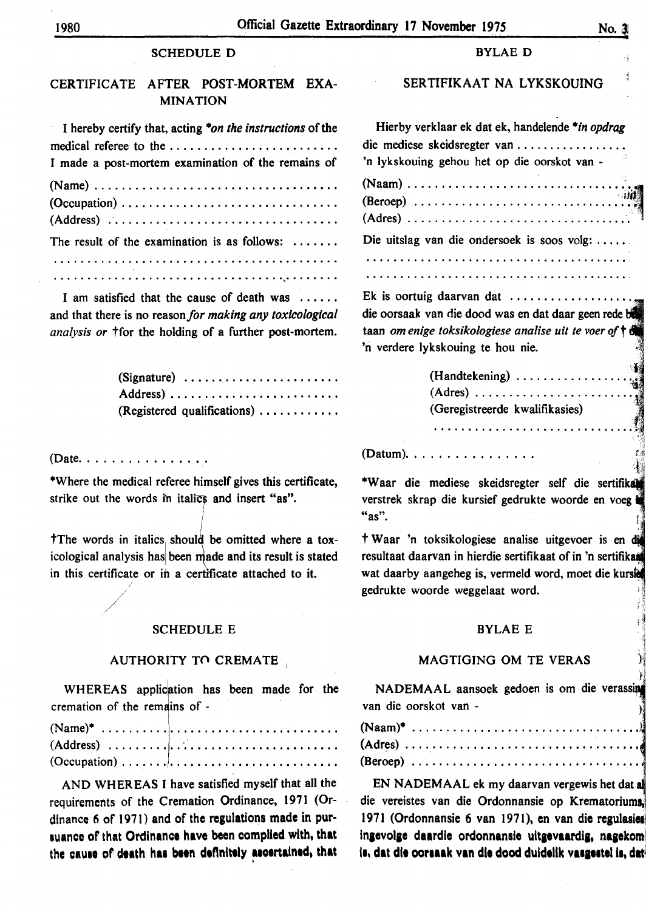#### **SCHEDULE D**

# CERTIFICATE AFTER POST-MORTEM EXA-**MINATION**

| I hereby certify that, acting "on the instructions of the |
|-----------------------------------------------------------|
| medical referee to the                                    |
| I made a post-mortem examination of the remains of        |
|                                                           |
|                                                           |
|                                                           |
| The result of the examination is as follows: $\dots\dots$ |
|                                                           |
|                                                           |

I am satisfied that the cause of death was ...... and that there is no reason for making any toxicological analysis or *ffor the holding* of a further post-mortem.

| (Signature) $\ldots \ldots \ldots \ldots \ldots \ldots \ldots$ |  |  |  |  |  |  |  |  |  |  |
|----------------------------------------------------------------|--|--|--|--|--|--|--|--|--|--|
|                                                                |  |  |  |  |  |  |  |  |  |  |
| (Registered qualifications)                                    |  |  |  |  |  |  |  |  |  |  |

(Date. . . . . . . . . . . . . . . .

\*Where the medical referee himself gives this certificate, strike out the words in italics and insert "as".

The words in italics should be omitted where a toxicological analysis has been made and its result is stated in this certificate or in a certificate attached to it.

#### **SCHEDULE E**

#### AUTHORITY TO CREMATE

WHEREAS application has been made for the cremation of the remains of -

| $(Occulation) \ldots \ldots \ldots \ldots \ldots \ldots \ldots \ldots \ldots$ |  |  |  |  |  |  |  |  |  |  |  |  |  |
|-------------------------------------------------------------------------------|--|--|--|--|--|--|--|--|--|--|--|--|--|

AND WHEREAS I have satisfied myself that all the requirements of the Cremation Ordinance, 1971 (Ordinance 6 of 1971) and of the regulations made in pursuance of that Ordinance have been complied with, that the cause of death has been definitely ascertained, that

#### **BYLAE D**

# SERTIFIKAAT NA LYKSKOUING

Hierby verklaar ek dat ek, handelende \*in opdrag die mediese skeidsregter van .............. 'n lykskouing gehou het op die oorskot van - $(Naam)$ ........................  $(Beroep)$ ......................  $(Adres)$ ....................... Die uitslag van die ondersoek is soos volg: ..... Ek is oortuig daarvan dat  $\dots\dots\dots\dots\dots\dots$ die oorsaak van die dood was en dat daar geen rede b

taan om enige toksikologiese analise uit te voer of t 'n verdere lykskouing te hou nie.

| (Handtekening) $\ldots$ , $\ldots$ , $\ldots$ , $\ldots$ |     |
|----------------------------------------------------------|-----|
|                                                          |     |
| (Geregistreerde kwalifikasies)                           | - 3 |
|                                                          |     |

 $(Datum)$ ................

\*Waar die mediese skeidsregter self die sertifikal verstrek skrap die kursief gedrukte woorde en voeg "as".

† Waar 'n toksikologiese analise uitgevoer is en di resultaat daarvan in hierdie sertifikaat of in 'n sertifikaat wat daarby aangeheg is, vermeld word, moet die kursie gedrukte woorde weggelaat word.

#### **BYLAE E**

# **MAGTIGING OM TE VERAS**

NADEMAAL aansoek gedoen is om die verassin van die oorskot van -

EN NADEMAAL ek my daarvan vergewis het dat al die vereistes van die Ordonnansie op Krematoriums, 1971 (Ordonnansie 6 van 1971), en van die regulasie ingevolge daardie ordonnansie uitgevaardig, nagekom is, dat die oorsaak van die dood duidelik vasgestel is, dat